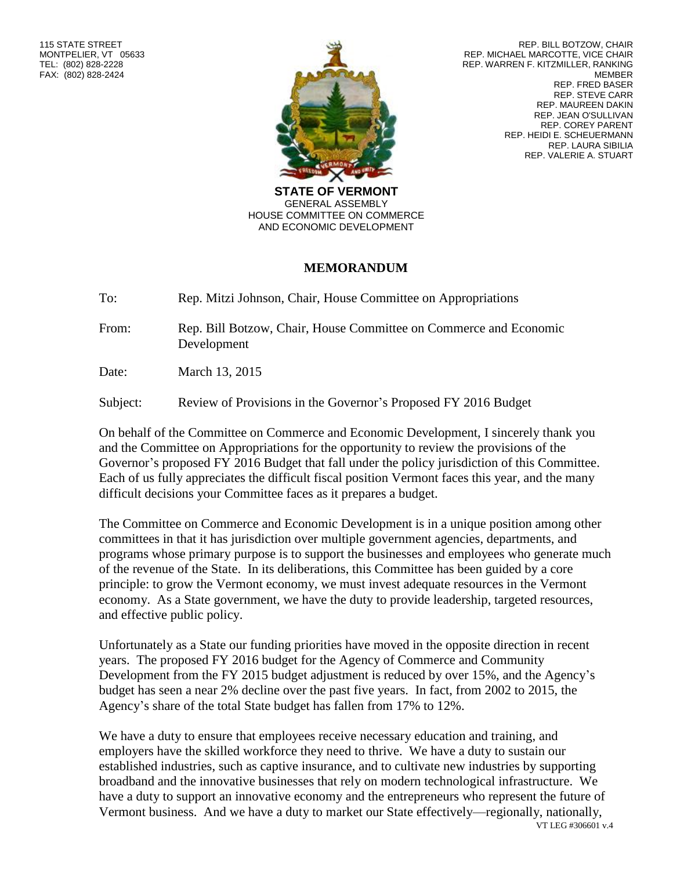

REP. BILL BOTZOW, CHAIR REP. MICHAEL MARCOTTE, VICE CHAIR REP. WARREN F. KITZMILLER, RANKING MEMBER REP. FRED BASER REP. STEVE CARR REP. MAUREEN DAKIN REP. JEAN O'SULLIVAN REP. COREY PARENT REP. HEIDI E. SCHEUERMANN REP. LAURA SIBILIA REP. VALERIE A. STUART

**STATE OF VERMONT** GENERAL ASSEMBLY HOUSE COMMITTEE ON COMMERCE AND ECONOMIC DEVELOPMENT

## **MEMORANDUM**

To: Rep. Mitzi Johnson, Chair, House Committee on Appropriations

From: Rep. Bill Botzow, Chair, House Committee on Commerce and Economic Development

Date: March 13, 2015

Subject: Review of Provisions in the Governor's Proposed FY 2016 Budget

On behalf of the Committee on Commerce and Economic Development, I sincerely thank you and the Committee on Appropriations for the opportunity to review the provisions of the Governor's proposed FY 2016 Budget that fall under the policy jurisdiction of this Committee. Each of us fully appreciates the difficult fiscal position Vermont faces this year, and the many difficult decisions your Committee faces as it prepares a budget.

The Committee on Commerce and Economic Development is in a unique position among other committees in that it has jurisdiction over multiple government agencies, departments, and programs whose primary purpose is to support the businesses and employees who generate much of the revenue of the State. In its deliberations, this Committee has been guided by a core principle: to grow the Vermont economy, we must invest adequate resources in the Vermont economy. As a State government, we have the duty to provide leadership, targeted resources, and effective public policy.

Unfortunately as a State our funding priorities have moved in the opposite direction in recent years. The proposed FY 2016 budget for the Agency of Commerce and Community Development from the FY 2015 budget adjustment is reduced by over 15%, and the Agency's budget has seen a near 2% decline over the past five years. In fact, from 2002 to 2015, the Agency's share of the total State budget has fallen from 17% to 12%.

VT LEG #306601 v.4 We have a duty to ensure that employees receive necessary education and training, and employers have the skilled workforce they need to thrive. We have a duty to sustain our established industries, such as captive insurance, and to cultivate new industries by supporting broadband and the innovative businesses that rely on modern technological infrastructure. We have a duty to support an innovative economy and the entrepreneurs who represent the future of Vermont business. And we have a duty to market our State effectively—regionally, nationally,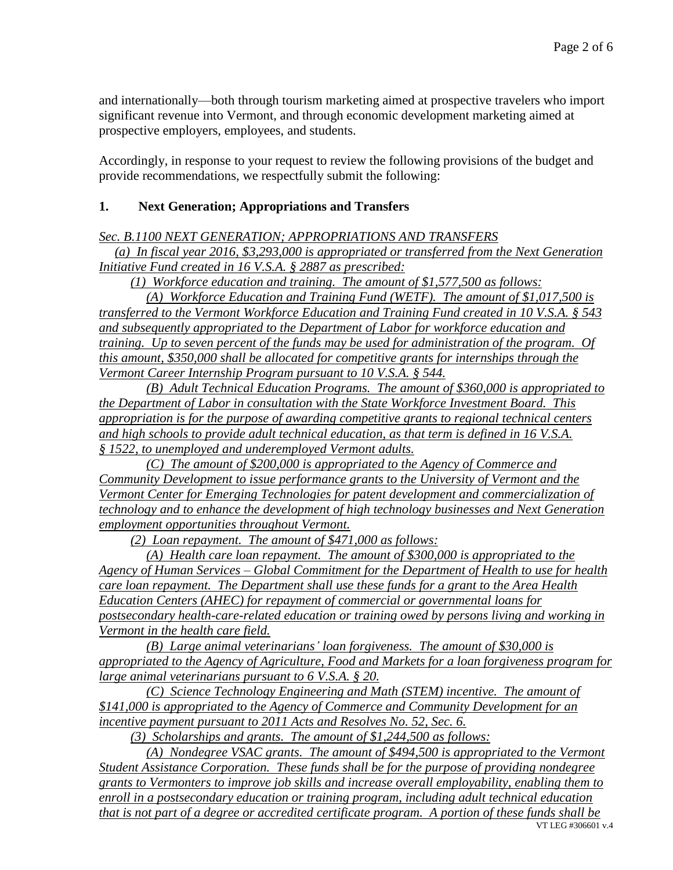and internationally—both through tourism marketing aimed at prospective travelers who import significant revenue into Vermont, and through economic development marketing aimed at prospective employers, employees, and students.

Accordingly, in response to your request to review the following provisions of the budget and provide recommendations, we respectfully submit the following:

### **1. Next Generation; Appropriations and Transfers**

*Sec. B.1100 NEXT GENERATION; APPROPRIATIONS AND TRANSFERS* 

*(a) In fiscal year 2016, \$3,293,000 is appropriated or transferred from the Next Generation Initiative Fund created in 16 V.S.A. § 2887 as prescribed:*

*(1) Workforce education and training. The amount of \$1,577,500 as follows:*

*(A) Workforce Education and Training Fund (WETF). The amount of \$1,017,500 is transferred to the Vermont Workforce Education and Training Fund created in 10 V.S.A. § 543 and subsequently appropriated to the Department of Labor for workforce education and training. Up to seven percent of the funds may be used for administration of the program. Of this amount, \$350,000 shall be allocated for competitive grants for internships through the Vermont Career Internship Program pursuant to 10 V.S.A. § 544.*

*(B) Adult Technical Education Programs. The amount of \$360,000 is appropriated to the Department of Labor in consultation with the State Workforce Investment Board. This appropriation is for the purpose of awarding competitive grants to regional technical centers and high schools to provide adult technical education, as that term is defined in 16 V.S.A. § 1522, to unemployed and underemployed Vermont adults.* 

*(C) The amount of \$200,000 is appropriated to the Agency of Commerce and Community Development to issue performance grants to the University of Vermont and the Vermont Center for Emerging Technologies for patent development and commercialization of technology and to enhance the development of high technology businesses and Next Generation employment opportunities throughout Vermont.*

*(2) Loan repayment. The amount of \$471,000 as follows:*

*(A) Health care loan repayment. The amount of \$300,000 is appropriated to the Agency of Human Services – Global Commitment for the Department of Health to use for health care loan repayment. The Department shall use these funds for a grant to the Area Health Education Centers (AHEC) for repayment of commercial or governmental loans for postsecondary health-care-related education or training owed by persons living and working in Vermont in the health care field.*

*(B) Large animal veterinarians' loan forgiveness. The amount of \$30,000 is appropriated to the Agency of Agriculture, Food and Markets for a loan forgiveness program for large animal veterinarians pursuant to 6 V.S.A. § 20.* 

*(C) Science Technology Engineering and Math (STEM) incentive. The amount of \$141,000 is appropriated to the Agency of Commerce and Community Development for an incentive payment pursuant to 2011 Acts and Resolves No. 52, Sec. 6.*

*(3) Scholarships and grants. The amount of \$1,244,500 as follows:*

VT LEG #306601 v 4 *(A) Nondegree VSAC grants. The amount of \$494,500 is appropriated to the Vermont Student Assistance Corporation. These funds shall be for the purpose of providing nondegree grants to Vermonters to improve job skills and increase overall employability, enabling them to enroll in a postsecondary education or training program, including adult technical education that is not part of a degree or accredited certificate program. A portion of these funds shall be*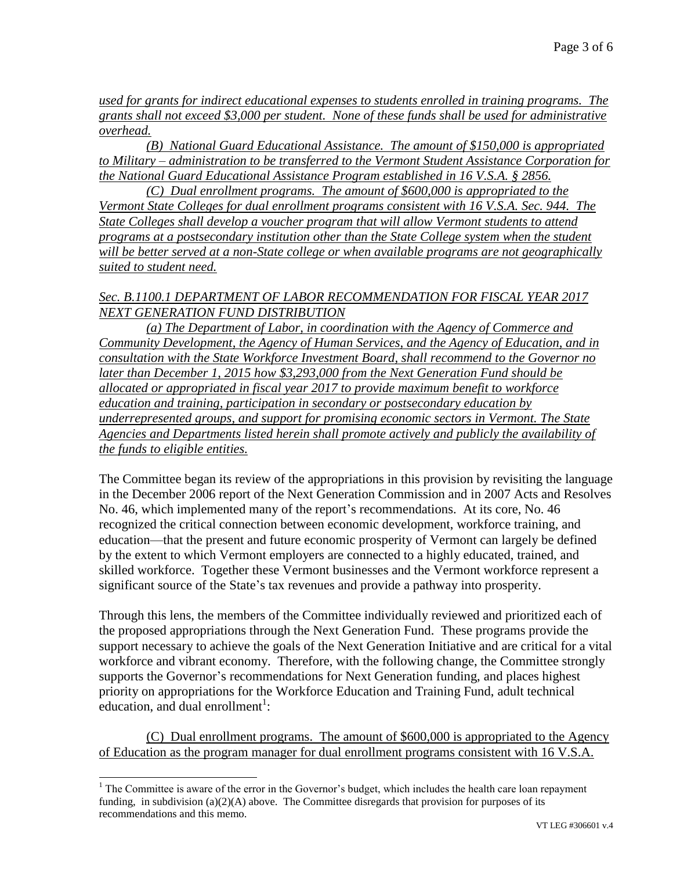*used for grants for indirect educational expenses to students enrolled in training programs. The grants shall not exceed \$3,000 per student. None of these funds shall be used for administrative overhead.*

*(B) National Guard Educational Assistance. The amount of \$150,000 is appropriated to Military – administration to be transferred to the Vermont Student Assistance Corporation for the National Guard Educational Assistance Program established in 16 V.S.A. § 2856.* 

*(C) Dual enrollment programs. The amount of \$600,000 is appropriated to the Vermont State Colleges for dual enrollment programs consistent with 16 V.S.A. Sec. 944. The State Colleges shall develop a voucher program that will allow Vermont students to attend programs at a postsecondary institution other than the State College system when the student will be better served at a non-State college or when available programs are not geographically suited to student need.*

### *Sec. B.1100.1 DEPARTMENT OF LABOR RECOMMENDATION FOR FISCAL YEAR 2017 NEXT GENERATION FUND DISTRIBUTION*

*(a) The Department of Labor, in coordination with the Agency of Commerce and Community Development, the Agency of Human Services, and the Agency of Education, and in consultation with the State Workforce Investment Board, shall recommend to the Governor no later than December 1, 2015 how \$3,293,000 from the Next Generation Fund should be allocated or appropriated in fiscal year 2017 to provide maximum benefit to workforce education and training, participation in secondary or postsecondary education by underrepresented groups, and support for promising economic sectors in Vermont. The State Agencies and Departments listed herein shall promote actively and publicly the availability of the funds to eligible entities.* 

The Committee began its review of the appropriations in this provision by revisiting the language in the December 2006 report of the Next Generation Commission and in 2007 Acts and Resolves No. 46, which implemented many of the report's recommendations. At its core, No. 46 recognized the critical connection between economic development, workforce training, and education—that the present and future economic prosperity of Vermont can largely be defined by the extent to which Vermont employers are connected to a highly educated, trained, and skilled workforce. Together these Vermont businesses and the Vermont workforce represent a significant source of the State's tax revenues and provide a pathway into prosperity.

Through this lens, the members of the Committee individually reviewed and prioritized each of the proposed appropriations through the Next Generation Fund. These programs provide the support necessary to achieve the goals of the Next Generation Initiative and are critical for a vital workforce and vibrant economy. Therefore, with the following change, the Committee strongly supports the Governor's recommendations for Next Generation funding, and places highest priority on appropriations for the Workforce Education and Training Fund, adult technical education, and dual enrollment<sup>1</sup>:

(C) Dual enrollment programs. The amount of \$600,000 is appropriated to the Agency of Education as the program manager for dual enrollment programs consistent with 16 V.S.A.

 $\overline{\phantom{a}}$ 

 $<sup>1</sup>$  The Committee is aware of the error in the Governor's budget, which includes the health care loan repayment</sup> funding, in subdivision (a)(2)(A) above. The Committee disregards that provision for purposes of its recommendations and this memo.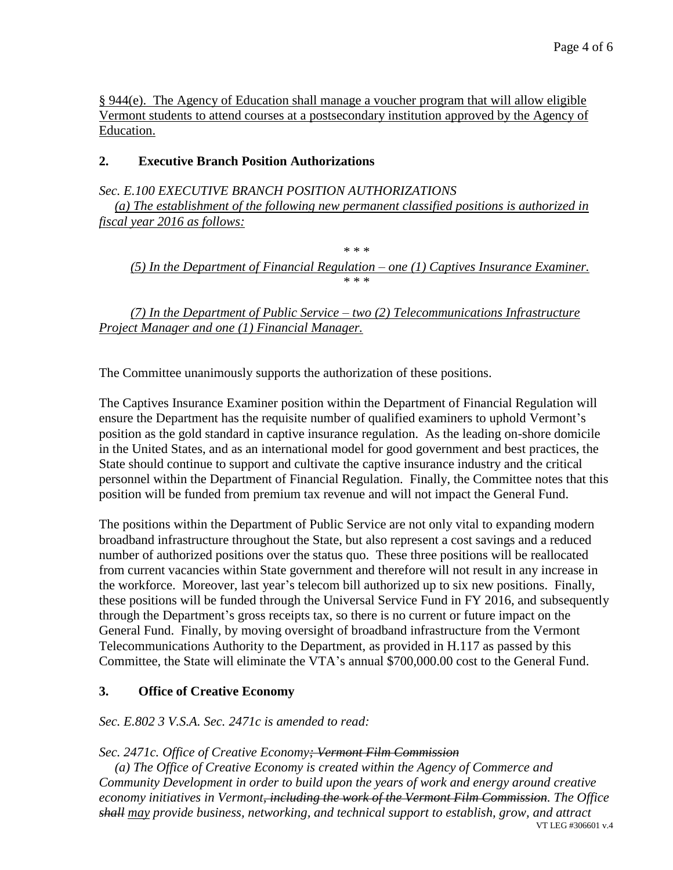§ 944(e). The Agency of Education shall manage a voucher program that will allow eligible Vermont students to attend courses at a postsecondary institution approved by the Agency of Education.

## **2. Executive Branch Position Authorizations**

*Sec. E.100 EXECUTIVE BRANCH POSITION AUTHORIZATIONS*

*(a) The establishment of the following new permanent classified positions is authorized in fiscal year 2016 as follows:*

*\* \* \* (5) In the Department of Financial Regulation – one (1) Captives Insurance Examiner. \* \* \**

*(7) In the Department of Public Service – two (2) Telecommunications Infrastructure Project Manager and one (1) Financial Manager.*

The Committee unanimously supports the authorization of these positions.

The Captives Insurance Examiner position within the Department of Financial Regulation will ensure the Department has the requisite number of qualified examiners to uphold Vermont's position as the gold standard in captive insurance regulation. As the leading on-shore domicile in the United States, and as an international model for good government and best practices, the State should continue to support and cultivate the captive insurance industry and the critical personnel within the Department of Financial Regulation. Finally, the Committee notes that this position will be funded from premium tax revenue and will not impact the General Fund.

The positions within the Department of Public Service are not only vital to expanding modern broadband infrastructure throughout the State, but also represent a cost savings and a reduced number of authorized positions over the status quo. These three positions will be reallocated from current vacancies within State government and therefore will not result in any increase in the workforce. Moreover, last year's telecom bill authorized up to six new positions. Finally, these positions will be funded through the Universal Service Fund in FY 2016, and subsequently through the Department's gross receipts tax, so there is no current or future impact on the General Fund. Finally, by moving oversight of broadband infrastructure from the Vermont Telecommunications Authority to the Department, as provided in H.117 as passed by this Committee, the State will eliminate the VTA's annual \$700,000.00 cost to the General Fund.

# **3. Office of Creative Economy**

*Sec. E.802 3 V.S.A. Sec. 2471c is amended to read:*

*Sec. 2471c. Office of Creative Economy; Vermont Film Commission*

VT LEG #306601 v.4 *(a) The Office of Creative Economy is created within the Agency of Commerce and Community Development in order to build upon the years of work and energy around creative economy initiatives in Vermont, including the work of the Vermont Film Commission. The Office shall may provide business, networking, and technical support to establish, grow, and attract*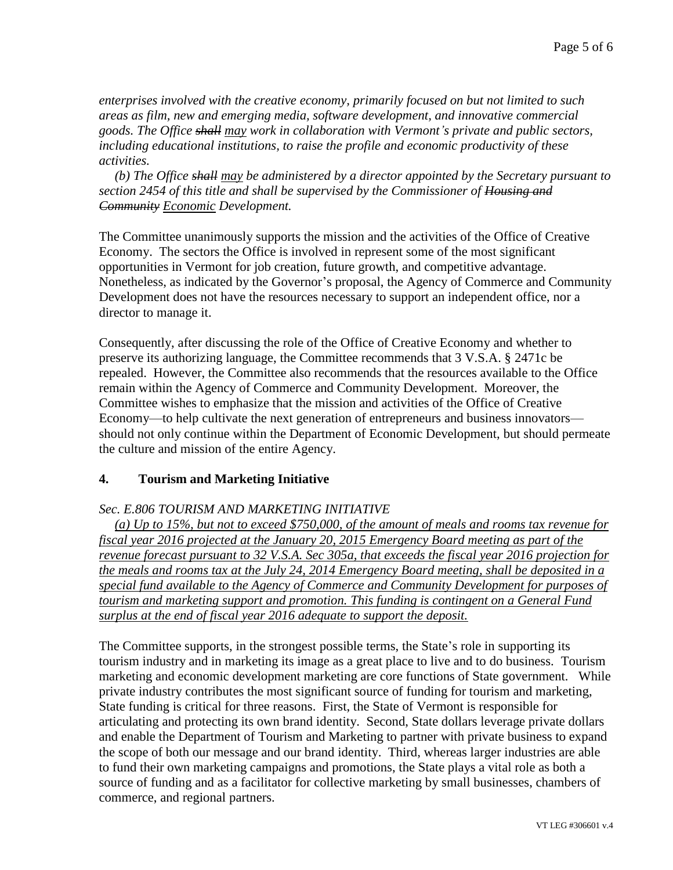*enterprises involved with the creative economy, primarily focused on but not limited to such areas as film, new and emerging media, software development, and innovative commercial goods. The Office shall may work in collaboration with Vermont's private and public sectors, including educational institutions, to raise the profile and economic productivity of these activities.*

*(b) The Office shall may be administered by a director appointed by the Secretary pursuant to section 2454 of this title and shall be supervised by the Commissioner of Housing and Community Economic Development.*

The Committee unanimously supports the mission and the activities of the Office of Creative Economy. The sectors the Office is involved in represent some of the most significant opportunities in Vermont for job creation, future growth, and competitive advantage. Nonetheless, as indicated by the Governor's proposal, the Agency of Commerce and Community Development does not have the resources necessary to support an independent office, nor a director to manage it.

Consequently, after discussing the role of the Office of Creative Economy and whether to preserve its authorizing language, the Committee recommends that 3 V.S.A. § 2471c be repealed. However, the Committee also recommends that the resources available to the Office remain within the Agency of Commerce and Community Development. Moreover, the Committee wishes to emphasize that the mission and activities of the Office of Creative Economy—to help cultivate the next generation of entrepreneurs and business innovators should not only continue within the Department of Economic Development, but should permeate the culture and mission of the entire Agency.

## **4. Tourism and Marketing Initiative**

### *Sec. E.806 TOURISM AND MARKETING INITIATIVE*

*(a) Up to 15%, but not to exceed \$750,000, of the amount of meals and rooms tax revenue for fiscal year 2016 projected at the January 20, 2015 Emergency Board meeting as part of the revenue forecast pursuant to 32 V.S.A. Sec 305a, that exceeds the fiscal year 2016 projection for the meals and rooms tax at the July 24, 2014 Emergency Board meeting, shall be deposited in a special fund available to the Agency of Commerce and Community Development for purposes of tourism and marketing support and promotion. This funding is contingent on a General Fund surplus at the end of fiscal year 2016 adequate to support the deposit.* 

The Committee supports, in the strongest possible terms, the State's role in supporting its tourism industry and in marketing its image as a great place to live and to do business. Tourism marketing and economic development marketing are core functions of State government. While private industry contributes the most significant source of funding for tourism and marketing, State funding is critical for three reasons. First, the State of Vermont is responsible for articulating and protecting its own brand identity. Second, State dollars leverage private dollars and enable the Department of Tourism and Marketing to partner with private business to expand the scope of both our message and our brand identity. Third, whereas larger industries are able to fund their own marketing campaigns and promotions, the State plays a vital role as both a source of funding and as a facilitator for collective marketing by small businesses, chambers of commerce, and regional partners.